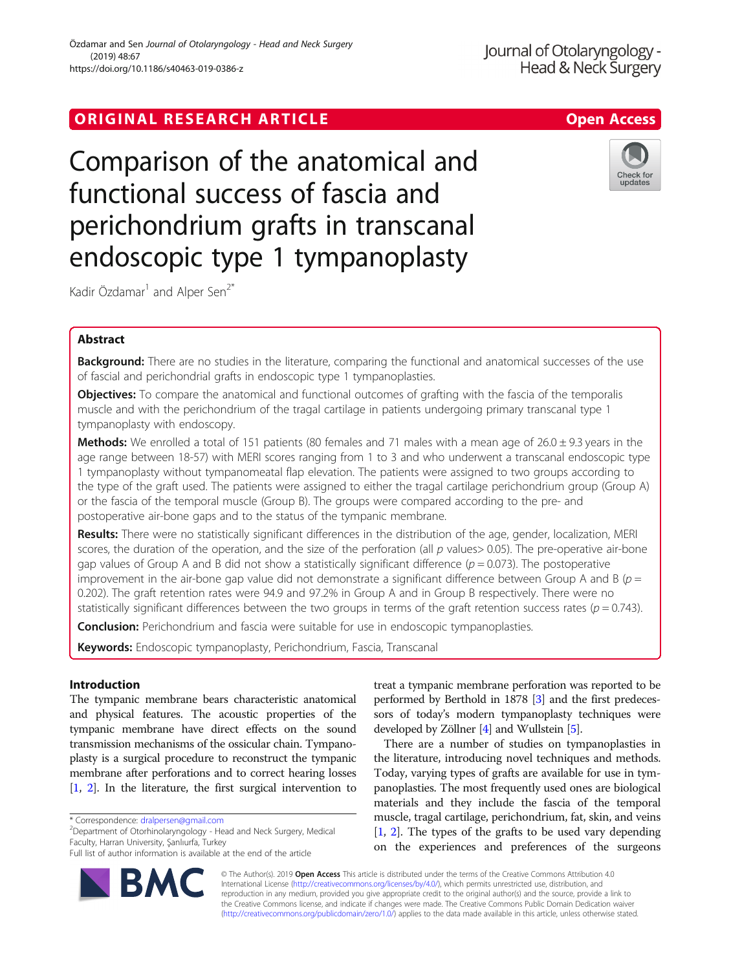# ORIGINAL RESEARCH ARTICLE **External of the Contract Contract Contract Contract Contract Contract Contract Contract Contract Contract Contract Contract Contract Contract Contract Contract Contract Contract Contract Contract**

Comparison of the anatomical and functional success of fascia and perichondrium grafts in transcanal endoscopic type 1 tympanoplasty



Kadir Özdamar<sup>1</sup> and Alper Sen<sup>2\*</sup>

# Abstract

Background: There are no studies in the literature, comparing the functional and anatomical successes of the use of fascial and perichondrial grafts in endoscopic type 1 tympanoplasties.

**Objectives:** To compare the anatomical and functional outcomes of grafting with the fascia of the temporalis muscle and with the perichondrium of the tragal cartilage in patients undergoing primary transcanal type 1 tympanoplasty with endoscopy.

Methods: We enrolled a total of 151 patients (80 females and 71 males with a mean age of  $26.0 \pm 9.3$  years in the age range between 18-57) with MERI scores ranging from 1 to 3 and who underwent a transcanal endoscopic type 1 tympanoplasty without tympanomeatal flap elevation. The patients were assigned to two groups according to the type of the graft used. The patients were assigned to either the tragal cartilage perichondrium group (Group A) or the fascia of the temporal muscle (Group B). The groups were compared according to the pre- and postoperative air-bone gaps and to the status of the tympanic membrane.

Results: There were no statistically significant differences in the distribution of the age, gender, localization, MERI scores, the duration of the operation, and the size of the perforation (all  $p$  values $> 0.05$ ). The pre-operative air-bone gap values of Group A and B did not show a statistically significant difference ( $p = 0.073$ ). The postoperative improvement in the air-bone gap value did not demonstrate a significant difference between Group A and B ( $p =$ 0.202). The graft retention rates were 94.9 and 97.2% in Group A and in Group B respectively. There were no statistically significant differences between the two groups in terms of the graft retention success rates ( $p = 0.743$ ).

**Conclusion:** Perichondrium and fascia were suitable for use in endoscopic tympanoplasties.

Keywords: Endoscopic tympanoplasty, Perichondrium, Fascia, Transcanal

# Introduction

The tympanic membrane bears characteristic anatomical and physical features. The acoustic properties of the tympanic membrane have direct effects on the sound transmission mechanisms of the ossicular chain. Tympanoplasty is a surgical procedure to reconstruct the tympanic membrane after perforations and to correct hearing losses [[1](#page-6-0), [2\]](#page-6-0). In the literature, the first surgical intervention to

Department of Otorhinolaryngology - Head and Neck Surgery, Medical Faculty, Harran University, Şanlıurfa, Turkey

Full list of author information is available at the end of the article



treat a tympanic membrane perforation was reported to be performed by Berthold in 1878 [[3](#page-6-0)] and the first predecessors of today's modern tympanoplasty techniques were developed by Zöllner [\[4](#page-6-0)] and Wullstein [\[5\]](#page-6-0).

There are a number of studies on tympanoplasties in the literature, introducing novel techniques and methods. Today, varying types of grafts are available for use in tympanoplasties. The most frequently used ones are biological materials and they include the fascia of the temporal muscle, tragal cartilage, perichondrium, fat, skin, and veins [[1,](#page-6-0) [2](#page-6-0)]. The types of the grafts to be used vary depending on the experiences and preferences of the surgeons

© The Author(s). 2019 **Open Access** This article is distributed under the terms of the Creative Commons Attribution 4.0 International License [\(http://creativecommons.org/licenses/by/4.0/](http://creativecommons.org/licenses/by/4.0/)), which permits unrestricted use, distribution, and reproduction in any medium, provided you give appropriate credit to the original author(s) and the source, provide a link to the Creative Commons license, and indicate if changes were made. The Creative Commons Public Domain Dedication waiver [\(http://creativecommons.org/publicdomain/zero/1.0/](http://creativecommons.org/publicdomain/zero/1.0/)) applies to the data made available in this article, unless otherwise stated.

<sup>\*</sup> Correspondence: [dralpersen@gmail.com](mailto:dralpersen@gmail.com) <sup>2</sup>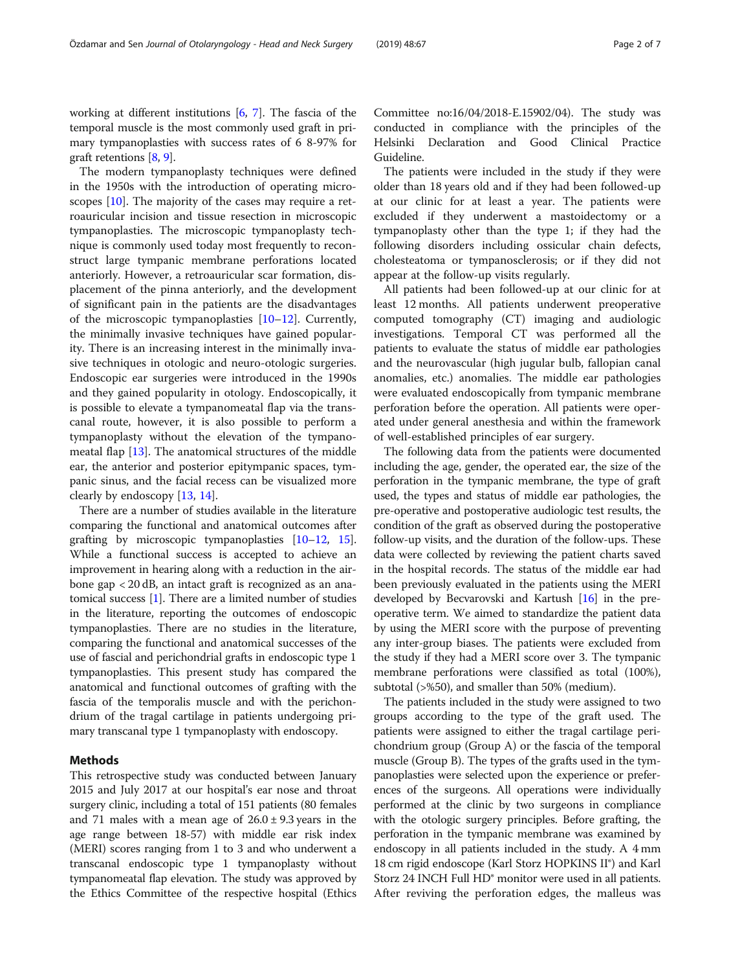working at different institutions  $[6, 7]$  $[6, 7]$  $[6, 7]$  $[6, 7]$ . The fascia of the temporal muscle is the most commonly used graft in primary tympanoplasties with success rates of 6 8-97% for graft retentions  $[8, 9]$  $[8, 9]$  $[8, 9]$  $[8, 9]$ .

The modern tympanoplasty techniques were defined in the 1950s with the introduction of operating microscopes [[10\]](#page-6-0). The majority of the cases may require a retroauricular incision and tissue resection in microscopic tympanoplasties. The microscopic tympanoplasty technique is commonly used today most frequently to reconstruct large tympanic membrane perforations located anteriorly. However, a retroauricular scar formation, displacement of the pinna anteriorly, and the development of significant pain in the patients are the disadvantages of the microscopic tympanoplasties [[10](#page-6-0)–[12](#page-6-0)]. Currently, the minimally invasive techniques have gained popularity. There is an increasing interest in the minimally invasive techniques in otologic and neuro-otologic surgeries. Endoscopic ear surgeries were introduced in the 1990s and they gained popularity in otology. Endoscopically, it is possible to elevate a tympanomeatal flap via the transcanal route, however, it is also possible to perform a tympanoplasty without the elevation of the tympanomeatal flap  $[13]$  $[13]$ . The anatomical structures of the middle ear, the anterior and posterior epitympanic spaces, tympanic sinus, and the facial recess can be visualized more clearly by endoscopy [[13](#page-6-0), [14](#page-6-0)].

There are a number of studies available in the literature comparing the functional and anatomical outcomes after grafting by microscopic tympanoplasties [\[10](#page-6-0)–[12](#page-6-0), [15](#page-6-0)]. While a functional success is accepted to achieve an improvement in hearing along with a reduction in the airbone gap < 20 dB, an intact graft is recognized as an anatomical success [[1](#page-6-0)]. There are a limited number of studies in the literature, reporting the outcomes of endoscopic tympanoplasties. There are no studies in the literature, comparing the functional and anatomical successes of the use of fascial and perichondrial grafts in endoscopic type 1 tympanoplasties. This present study has compared the anatomical and functional outcomes of grafting with the fascia of the temporalis muscle and with the perichondrium of the tragal cartilage in patients undergoing primary transcanal type 1 tympanoplasty with endoscopy.

# Methods

This retrospective study was conducted between January 2015 and July 2017 at our hospital's ear nose and throat surgery clinic, including a total of 151 patients (80 females and 71 males with a mean age of  $26.0 \pm 9.3$  years in the age range between 18-57) with middle ear risk index (MERI) scores ranging from 1 to 3 and who underwent a transcanal endoscopic type 1 tympanoplasty without tympanomeatal flap elevation. The study was approved by the Ethics Committee of the respective hospital (Ethics Committee no:16/04/2018-E.15902/04). The study was conducted in compliance with the principles of the Helsinki Declaration and Good Clinical Practice Guideline.

The patients were included in the study if they were older than 18 years old and if they had been followed-up at our clinic for at least a year. The patients were excluded if they underwent a mastoidectomy or a tympanoplasty other than the type 1; if they had the following disorders including ossicular chain defects, cholesteatoma or tympanosclerosis; or if they did not appear at the follow-up visits regularly.

All patients had been followed-up at our clinic for at least 12 months. All patients underwent preoperative computed tomography (CT) imaging and audiologic investigations. Temporal CT was performed all the patients to evaluate the status of middle ear pathologies and the neurovascular (high jugular bulb, fallopian canal anomalies, etc.) anomalies. The middle ear pathologies were evaluated endoscopically from tympanic membrane perforation before the operation. All patients were operated under general anesthesia and within the framework of well-established principles of ear surgery.

The following data from the patients were documented including the age, gender, the operated ear, the size of the perforation in the tympanic membrane, the type of graft used, the types and status of middle ear pathologies, the pre-operative and postoperative audiologic test results, the condition of the graft as observed during the postoperative follow-up visits, and the duration of the follow-ups. These data were collected by reviewing the patient charts saved in the hospital records. The status of the middle ear had been previously evaluated in the patients using the MERI developed by Becvarovski and Kartush [[16](#page-6-0)] in the preoperative term. We aimed to standardize the patient data by using the MERI score with the purpose of preventing any inter-group biases. The patients were excluded from the study if they had a MERI score over 3. The tympanic membrane perforations were classified as total (100%), subtotal (>%50), and smaller than 50% (medium).

The patients included in the study were assigned to two groups according to the type of the graft used. The patients were assigned to either the tragal cartilage perichondrium group (Group A) or the fascia of the temporal muscle (Group B). The types of the grafts used in the tympanoplasties were selected upon the experience or preferences of the surgeons. All operations were individually performed at the clinic by two surgeons in compliance with the otologic surgery principles. Before grafting, the perforation in the tympanic membrane was examined by endoscopy in all patients included in the study. A 4 mm 18 cm rigid endoscope (Karl Storz HOPKINS II®) and Karl Storz 24 INCH Full HD® monitor were used in all patients. After reviving the perforation edges, the malleus was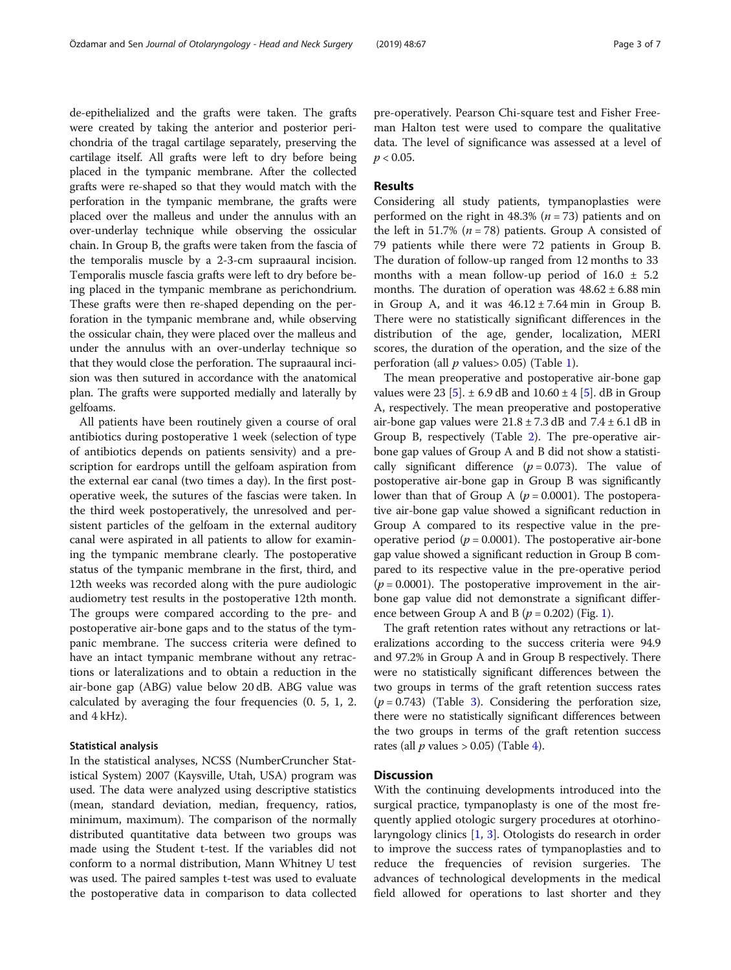de-epithelialized and the grafts were taken. The grafts were created by taking the anterior and posterior perichondria of the tragal cartilage separately, preserving the cartilage itself. All grafts were left to dry before being placed in the tympanic membrane. After the collected grafts were re-shaped so that they would match with the perforation in the tympanic membrane, the grafts were placed over the malleus and under the annulus with an over-underlay technique while observing the ossicular chain. In Group B, the grafts were taken from the fascia of the temporalis muscle by a 2-3-cm supraaural incision. Temporalis muscle fascia grafts were left to dry before being placed in the tympanic membrane as perichondrium. These grafts were then re-shaped depending on the perforation in the tympanic membrane and, while observing the ossicular chain, they were placed over the malleus and under the annulus with an over-underlay technique so that they would close the perforation. The supraaural incision was then sutured in accordance with the anatomical plan. The grafts were supported medially and laterally by gelfoams.

All patients have been routinely given a course of oral antibiotics during postoperative 1 week (selection of type of antibiotics depends on patients sensivity) and a prescription for eardrops untill the gelfoam aspiration from the external ear canal (two times a day). In the first postoperative week, the sutures of the fascias were taken. In the third week postoperatively, the unresolved and persistent particles of the gelfoam in the external auditory canal were aspirated in all patients to allow for examining the tympanic membrane clearly. The postoperative status of the tympanic membrane in the first, third, and 12th weeks was recorded along with the pure audiologic audiometry test results in the postoperative 12th month. The groups were compared according to the pre- and postoperative air-bone gaps and to the status of the tympanic membrane. The success criteria were defined to have an intact tympanic membrane without any retractions or lateralizations and to obtain a reduction in the air-bone gap (ABG) value below 20 dB. ABG value was calculated by averaging the four frequencies (0. 5, 1, 2. and 4 kHz).

### Statistical analysis

In the statistical analyses, NCSS (NumberCruncher Statistical System) 2007 (Kaysville, Utah, USA) program was used. The data were analyzed using descriptive statistics (mean, standard deviation, median, frequency, ratios, minimum, maximum). The comparison of the normally distributed quantitative data between two groups was made using the Student t-test. If the variables did not conform to a normal distribution, Mann Whitney U test was used. The paired samples t-test was used to evaluate the postoperative data in comparison to data collected pre-operatively. Pearson Chi-square test and Fisher Freeman Halton test were used to compare the qualitative data. The level of significance was assessed at a level of  $p < 0.05$ .

# Results

Considering all study patients, tympanoplasties were performed on the right in 48.3% ( $n = 73$ ) patients and on the left in 51.7% ( $n = 78$ ) patients. Group A consisted of 79 patients while there were 72 patients in Group B. The duration of follow-up ranged from 12 months to 33 months with a mean follow-up period of  $16.0 \pm 5.2$ months. The duration of operation was  $48.62 \pm 6.88$  min in Group A, and it was  $46.12 \pm 7.64$  min in Group B. There were no statistically significant differences in the distribution of the age, gender, localization, MERI scores, the duration of the operation, and the size of the perforation (all  $p$  values  $0.05$ ) (Table [1](#page-3-0)).

The mean preoperative and postoperative air-bone gap values were 23 [[5\]](#page-6-0).  $\pm$  6.9 dB and 10.60  $\pm$  4 [5]. dB in Group A, respectively. The mean preoperative and postoperative air-bone gap values were  $21.8 \pm 7.3$  dB and  $7.4 \pm 6.1$  dB in Group B, respectively (Table [2](#page-3-0)). The pre-operative airbone gap values of Group A and B did not show a statistically significant difference ( $p = 0.073$ ). The value of postoperative air-bone gap in Group B was significantly lower than that of Group A ( $p = 0.0001$ ). The postoperative air-bone gap value showed a significant reduction in Group A compared to its respective value in the preoperative period ( $p = 0.0001$ ). The postoperative air-bone gap value showed a significant reduction in Group B compared to its respective value in the pre-operative period  $(p = 0.0001)$ . The postoperative improvement in the airbone gap value did not demonstrate a significant difference between Group A and B ( $p = 0.202$ ) (Fig. [1\)](#page-4-0).

The graft retention rates without any retractions or lateralizations according to the success criteria were 94.9 and 97.2% in Group A and in Group B respectively. There were no statistically significant differences between the two groups in terms of the graft retention success rates  $(p = 0.743)$  $(p = 0.743)$  $(p = 0.743)$  (Table 3). Considering the perforation size, there were no statistically significant differences between the two groups in terms of the graft retention success rates (all  $p$  values  $> 0.05$ ) (Table [4\)](#page-5-0).

# **Discussion**

With the continuing developments introduced into the surgical practice, tympanoplasty is one of the most frequently applied otologic surgery procedures at otorhinolaryngology clinics [[1,](#page-6-0) [3\]](#page-6-0). Otologists do research in order to improve the success rates of tympanoplasties and to reduce the frequencies of revision surgeries. The advances of technological developments in the medical field allowed for operations to last shorter and they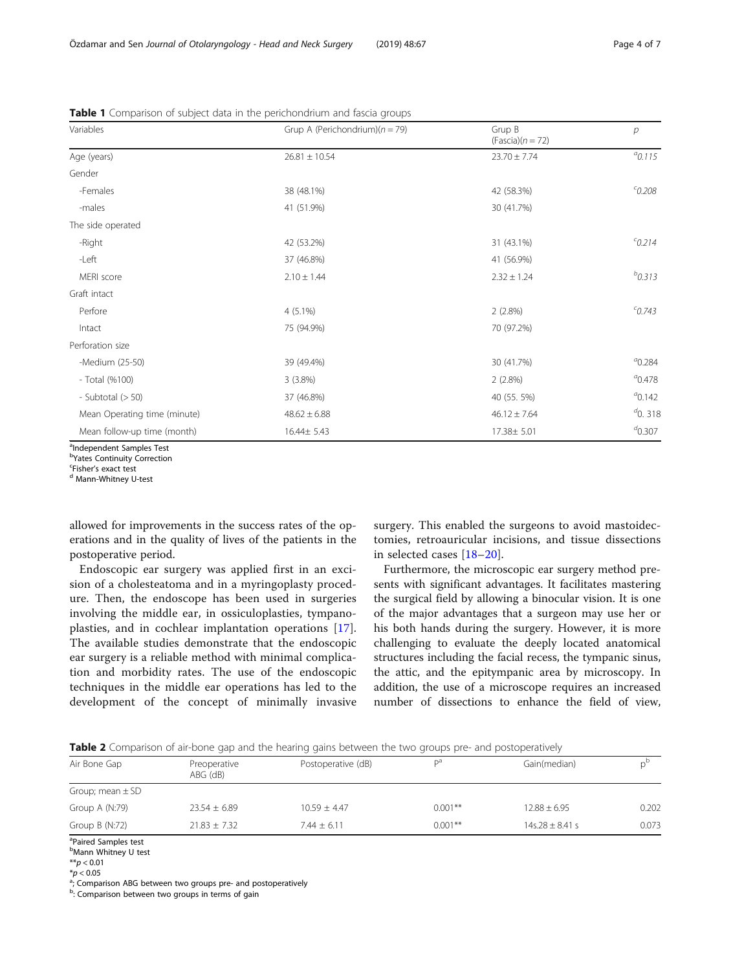<span id="page-3-0"></span>Özdamar and Sen Journal of Otolaryngology - Head and Neck Surgery (2019) 48:67 Page 4 of 7

| Variables                    | Grup A (Perichondrium) $(n = 79)$ | Grup B<br>$(Fascia)(n = 72)$ | $\mathcal{P}$ |
|------------------------------|-----------------------------------|------------------------------|---------------|
| Age (years)                  | $26.81 \pm 10.54$                 | $23.70 \pm 7.74$             | $^{a}$ 0.115  |
| Gender                       |                                   |                              |               |
| -Females                     | 38 (48.1%)                        | 42 (58.3%)                   | $C$ 0.208     |
| -males                       | 41 (51.9%)                        | 30 (41.7%)                   |               |
| The side operated            |                                   |                              |               |
| -Right                       | 42 (53.2%)                        | 31 (43.1%)                   | $C$ 0.214     |
| -Left                        | 37 (46.8%)                        | 41 (56.9%)                   |               |
| MERI score                   | $2.10 \pm 1.44$                   | $2.32 \pm 1.24$              | $b_{0.313}$   |
| Graft intact                 |                                   |                              |               |
| Perfore                      | $4(5.1\%)$                        | $2(2.8\%)$                   | $^c$ 0.743    |
| Intact                       | 75 (94.9%)                        | 70 (97.2%)                   |               |
| Perforation size             |                                   |                              |               |
| -Medium (25-50)              | 39 (49.4%)                        | 30 (41.7%)                   | $^{a}$ 0.284  |
| - Total (%100)               | $3(3.8\%)$                        | $2(2.8\%)$                   | $^{a}$ 0.478  |
| - Subtotal $(> 50)$          | 37 (46.8%)                        | 40 (55. 5%)                  | $^{a}$ 0.142  |
| Mean Operating time (minute) | $48.62 \pm 6.88$                  | $46.12 \pm 7.64$             | $^{d}$ 0. 318 |
| Mean follow-up time (month)  | 16.44± 5.43                       | 17.38± 5.01                  | $^{d}$ 0.307  |

Table 1 Comparison of subject data in the perichondrium and fascia groups

<sup>a</sup>Independent Samples Test

**b**Yates Continuity Correction

<sup>c</sup>Fisher's exact test

d Mann-Whitney U-test

allowed for improvements in the success rates of the operations and in the quality of lives of the patients in the postoperative period.

Endoscopic ear surgery was applied first in an excision of a cholesteatoma and in a myringoplasty procedure. Then, the endoscope has been used in surgeries involving the middle ear, in ossiculoplasties, tympanoplasties, and in cochlear implantation operations [\[17](#page-6-0)]. The available studies demonstrate that the endoscopic ear surgery is a reliable method with minimal complication and morbidity rates. The use of the endoscopic techniques in the middle ear operations has led to the development of the concept of minimally invasive surgery. This enabled the surgeons to avoid mastoidectomies, retroauricular incisions, and tissue dissections in selected cases [\[18](#page-6-0)–[20](#page-6-0)].

Furthermore, the microscopic ear surgery method presents with significant advantages. It facilitates mastering the surgical field by allowing a binocular vision. It is one of the major advantages that a surgeon may use her or his both hands during the surgery. However, it is more challenging to evaluate the deeply located anatomical structures including the facial recess, the tympanic sinus, the attic, and the epitympanic area by microscopy. In addition, the use of a microscope requires an increased number of dissections to enhance the field of view,

**Table 2** Comparison of air-bone gap and the hearing gains between the two groups pre- and postoperatively

| <b>Twele =</b> Companion of an oone gap and the nearing gains sections the throughoups pre- and postoperatively |                          |                    |           |                  |       |  |
|-----------------------------------------------------------------------------------------------------------------|--------------------------|--------------------|-----------|------------------|-------|--|
| Air Bone Gap                                                                                                    | Preoperative<br>ABG (dB) | Postoperative (dB) | Da        | Gain(median)     |       |  |
| Group; mean $\pm$ SD                                                                                            |                          |                    |           |                  |       |  |
| Group A (N:79)                                                                                                  | $23.54 \pm 6.89$         | $10.59 \pm 4.47$   | $0.001**$ | $12.88 \pm 6.95$ | 0.202 |  |
| Group $B(N:72)$                                                                                                 | $21.83 \pm 7.32$         | $7.44 + 6.11$      | $0.001**$ | $14s.28 + 8.41s$ | 0.073 |  |
| $2n + 1 - n$                                                                                                    |                          |                    |           |                  |       |  |

<sup>a</sup>Paired Samples test **b**Mann Whitney U test

 $**p < 0.01$ 

 $*$ *p* < 0.05

<sup>a</sup>; Comparison ABG between two groups pre- and postoperatively

<sup>b</sup>: Comparison between two groups in terms of gain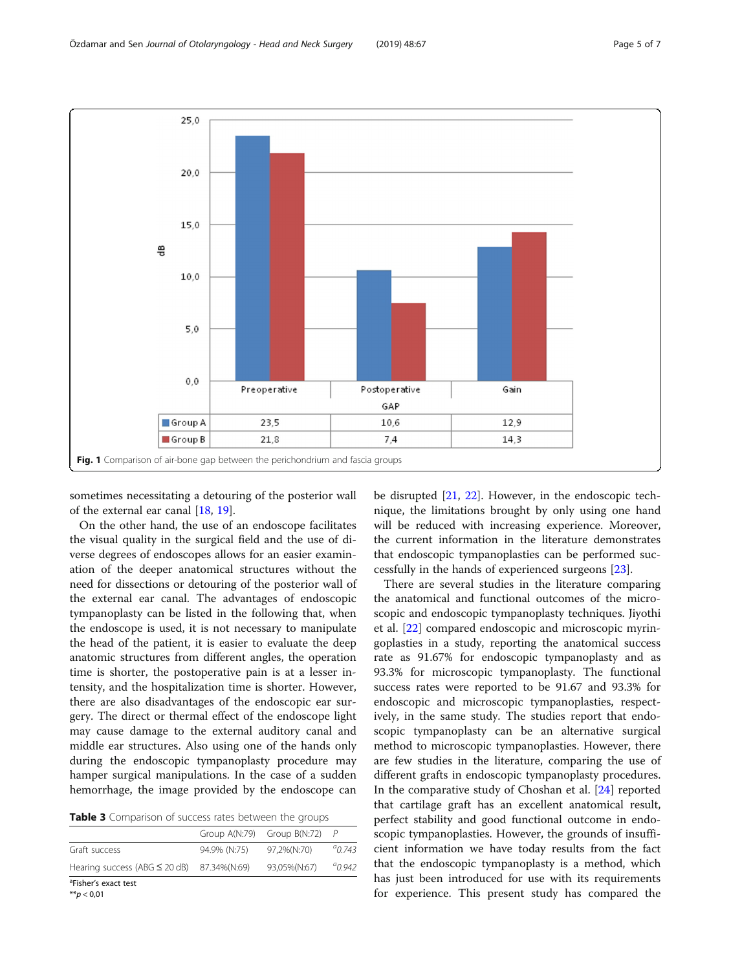<span id="page-4-0"></span>

sometimes necessitating a detouring of the posterior wall of the external ear canal [[18,](#page-6-0) [19\]](#page-6-0).

On the other hand, the use of an endoscope facilitates the visual quality in the surgical field and the use of diverse degrees of endoscopes allows for an easier examination of the deeper anatomical structures without the need for dissections or detouring of the posterior wall of the external ear canal. The advantages of endoscopic tympanoplasty can be listed in the following that, when the endoscope is used, it is not necessary to manipulate the head of the patient, it is easier to evaluate the deep anatomic structures from different angles, the operation time is shorter, the postoperative pain is at a lesser intensity, and the hospitalization time is shorter. However, there are also disadvantages of the endoscopic ear surgery. The direct or thermal effect of the endoscope light may cause damage to the external auditory canal and middle ear structures. Also using one of the hands only during the endoscopic tympanoplasty procedure may hamper surgical manipulations. In the case of a sudden hemorrhage, the image provided by the endoscope can

| Table 3 Comparison of success rates between the groups |  |  |  |
|--------------------------------------------------------|--|--|--|
|--------------------------------------------------------|--|--|--|

|                                                 | Group $A(N:79)$ Group $B(N:72)$ |              |              |
|-------------------------------------------------|---------------------------------|--------------|--------------|
| Graft success                                   | 94.9% (N:75)                    | 97.2%(N:70)  | $^{a}$ 0.743 |
| Hearing success (ABG $\leq$ 20 dB) 87.34%(N:69) |                                 | 93.05%(N:67) | $^{a}$ 0.942 |
| <sup>a</sup> Fisher's exact test                |                                 |              |              |

 $**p < 0.01$ 

be disrupted [\[21](#page-6-0), [22\]](#page-6-0). However, in the endoscopic technique, the limitations brought by only using one hand will be reduced with increasing experience. Moreover, the current information in the literature demonstrates that endoscopic tympanoplasties can be performed successfully in the hands of experienced surgeons [[23](#page-6-0)].

There are several studies in the literature comparing the anatomical and functional outcomes of the microscopic and endoscopic tympanoplasty techniques. Jiyothi et al. [\[22\]](#page-6-0) compared endoscopic and microscopic myringoplasties in a study, reporting the anatomical success rate as 91.67% for endoscopic tympanoplasty and as 93.3% for microscopic tympanoplasty. The functional success rates were reported to be 91.67 and 93.3% for endoscopic and microscopic tympanoplasties, respectively, in the same study. The studies report that endoscopic tympanoplasty can be an alternative surgical method to microscopic tympanoplasties. However, there are few studies in the literature, comparing the use of different grafts in endoscopic tympanoplasty procedures. In the comparative study of Choshan et al. [[24](#page-6-0)] reported that cartilage graft has an excellent anatomical result, perfect stability and good functional outcome in endoscopic tympanoplasties. However, the grounds of insufficient information we have today results from the fact that the endoscopic tympanoplasty is a method, which has just been introduced for use with its requirements for experience. This present study has compared the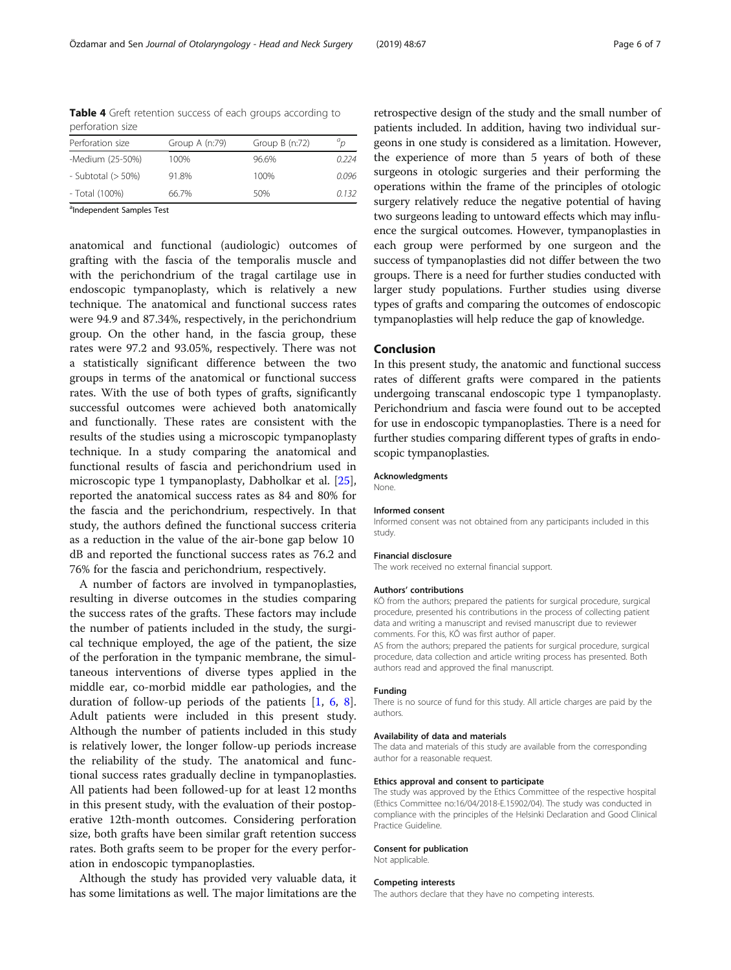<span id="page-5-0"></span>

|                  | Table 4 Greft retention success of each groups according to |  |  |  |
|------------------|-------------------------------------------------------------|--|--|--|
| perforation size |                                                             |  |  |  |

| Perforation size     | Group A (n:79) | Group $B(n:72)$ | $a_{n}$ |
|----------------------|----------------|-----------------|---------|
| -Medium (25-50%)     | 100%           | 96.6%           | 0.224   |
| - Subtotal $(>50\%)$ | 91.8%          | 100%            | 0.096   |
| - Total (100%)       | 66.7%          | 50%             | 0.132   |

<sup>a</sup>Independent Samples Test

anatomical and functional (audiologic) outcomes of grafting with the fascia of the temporalis muscle and with the perichondrium of the tragal cartilage use in endoscopic tympanoplasty, which is relatively a new technique. The anatomical and functional success rates were 94.9 and 87.34%, respectively, in the perichondrium group. On the other hand, in the fascia group, these rates were 97.2 and 93.05%, respectively. There was not a statistically significant difference between the two groups in terms of the anatomical or functional success rates. With the use of both types of grafts, significantly successful outcomes were achieved both anatomically and functionally. These rates are consistent with the results of the studies using a microscopic tympanoplasty technique. In a study comparing the anatomical and functional results of fascia and perichondrium used in microscopic type 1 tympanoplasty, Dabholkar et al. [\[25](#page-6-0)], reported the anatomical success rates as 84 and 80% for the fascia and the perichondrium, respectively. In that study, the authors defined the functional success criteria as a reduction in the value of the air-bone gap below 10 dB and reported the functional success rates as 76.2 and 76% for the fascia and perichondrium, respectively.

A number of factors are involved in tympanoplasties, resulting in diverse outcomes in the studies comparing the success rates of the grafts. These factors may include the number of patients included in the study, the surgical technique employed, the age of the patient, the size of the perforation in the tympanic membrane, the simultaneous interventions of diverse types applied in the middle ear, co-morbid middle ear pathologies, and the duration of follow-up periods of the patients [[1,](#page-6-0) [6,](#page-6-0) [8](#page-6-0)]. Adult patients were included in this present study. Although the number of patients included in this study is relatively lower, the longer follow-up periods increase the reliability of the study. The anatomical and functional success rates gradually decline in tympanoplasties. All patients had been followed-up for at least 12 months in this present study, with the evaluation of their postoperative 12th-month outcomes. Considering perforation size, both grafts have been similar graft retention success rates. Both grafts seem to be proper for the every perforation in endoscopic tympanoplasties.

Although the study has provided very valuable data, it has some limitations as well. The major limitations are the retrospective design of the study and the small number of patients included. In addition, having two individual surgeons in one study is considered as a limitation. However, the experience of more than 5 years of both of these surgeons in otologic surgeries and their performing the operations within the frame of the principles of otologic surgery relatively reduce the negative potential of having two surgeons leading to untoward effects which may influence the surgical outcomes. However, tympanoplasties in each group were performed by one surgeon and the success of tympanoplasties did not differ between the two groups. There is a need for further studies conducted with larger study populations. Further studies using diverse types of grafts and comparing the outcomes of endoscopic tympanoplasties will help reduce the gap of knowledge.

# Conclusion

In this present study, the anatomic and functional success rates of different grafts were compared in the patients undergoing transcanal endoscopic type 1 tympanoplasty. Perichondrium and fascia were found out to be accepted for use in endoscopic tympanoplasties. There is a need for further studies comparing different types of grafts in endoscopic tympanoplasties.

#### Acknowledgments

None.

#### Informed consent

Informed consent was not obtained from any participants included in this study.

#### Financial disclosure

The work received no external financial support.

#### Authors' contributions

KÖ from the authors; prepared the patients for surgical procedure, surgical procedure, presented his contributions in the process of collecting patient data and writing a manuscript and revised manuscript due to reviewer comments. For this, KÖ was first author of paper.

AS from the authors; prepared the patients for surgical procedure, surgical procedure, data collection and article writing process has presented. Both authors read and approved the final manuscript.

#### Funding

There is no source of fund for this study. All article charges are paid by the authors.

#### Availability of data and materials

The data and materials of this study are available from the corresponding author for a reasonable request.

#### Ethics approval and consent to participate

The study was approved by the Ethics Committee of the respective hospital (Ethics Committee no:16/04/2018-E.15902/04). The study was conducted in compliance with the principles of the Helsinki Declaration and Good Clinical Practice Guideline.

#### Consent for publication

Not applicable.

#### Competing interests

The authors declare that they have no competing interests.